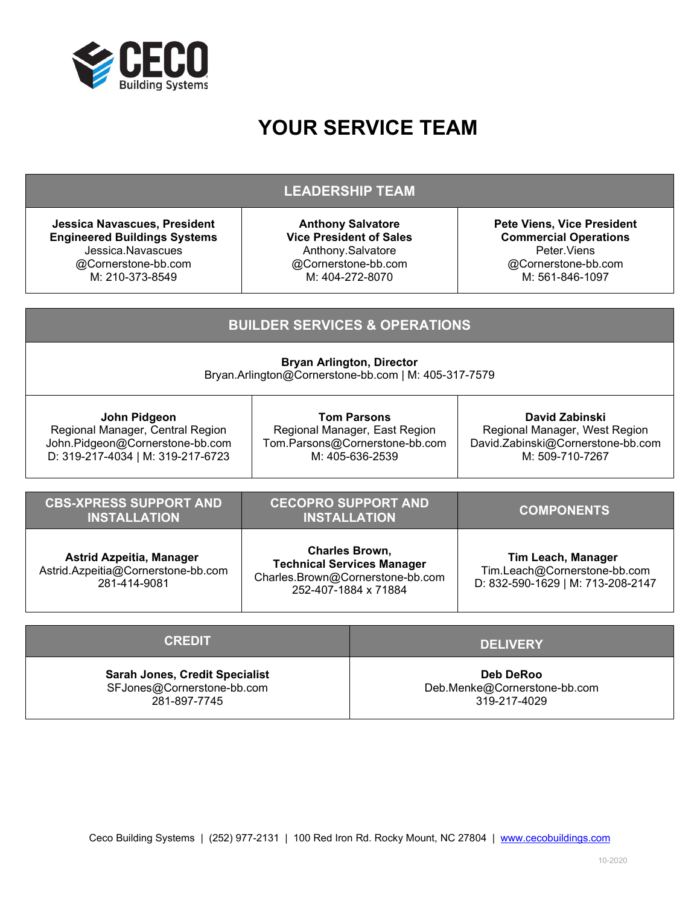

# **YOUR SERVICE TEAM**

### **LEADERSHIP TEAM**

**Jessica Navascues, President Engineered Buildings Systems** Jessica.Navascues @Cornerstone-bb.com M: 210-373-8549

Astrid.Azpeitia@Cornerstone-bb.com 281-414-9081

**Anthony Salvatore Vice President of Sales** Anthony.Salvatore @Cornerstone-bb.com M: 404-272-8070

**Pete Viens, Vice President Commercial Operations** Peter.Viens @Cornerstone-bb.com M: 561-846-1097

Tim.Leach@Cornerstone-bb.com D: 832-590-1629 | M: 713-208-2147

#### **BUILDER SERVICES & OPERATIONS Bryan Arlington, Director** Bryan.Arlington@Cornerstone-bb.com | M: 405-317-7579 **John Pidgeon** Regional Manager, Central Region [John.Pidgeon@Cornerstone-bb.com](mailto:John.Pidgeon@Cornerstone-bb.com) D: 319-217-4034 | M: 319-217-6723 **Tom Parsons** Regional Manager, East Region Tom.Parsons@Cornerstone-bb.com M: 405-636-2539 **David Zabinski** Regional Manager, West Region David.Zabinski@Cornerstone-bb.com M: 509-710-7267 **CBS-XPRESS SUPPORT AND INSTALLATION CECOPRO SUPPORT AND INSTALLATION COMPONENTS Astrid Azpeitia, Manager Charles Brown, Technical Services Manager Tim Leach, Manager**

| <b>CREDIT</b>                                                                       | <b>DELIVERY</b>                                                  |
|-------------------------------------------------------------------------------------|------------------------------------------------------------------|
| <b>Sarah Jones, Credit Specialist</b><br>SFJones@Cornerstone-bb.com<br>281-897-7745 | <b>Deb DeRoo</b><br>Deb.Menke@Cornerstone-bb.com<br>319-217-4029 |

[Charles.Brown@Cornerstone-bb.com](mailto:Charles.Brown@Cornerstone-bb.com) 252-407-1884 x 71884